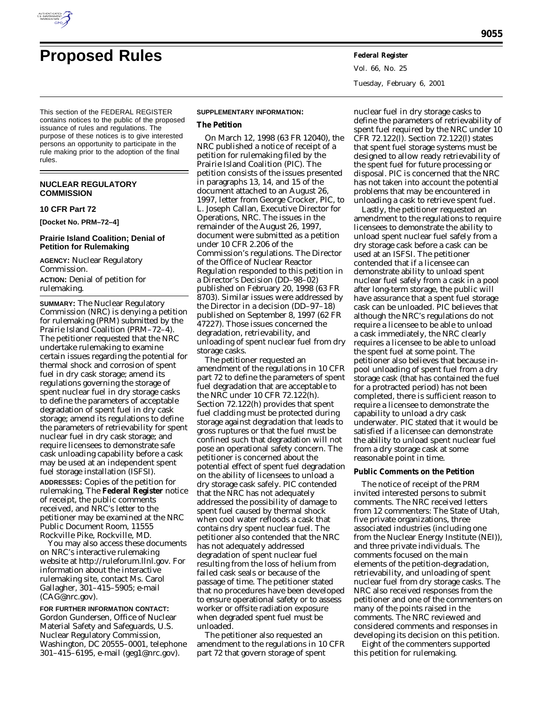

Vol. 66, No. 25 Tuesday, February 6, 2001

This section of the FEDERAL REGISTER contains notices to the public of the proposed issuance of rules and regulations. The purpose of these notices is to give interested persons an opportunity to participate in the rule making prior to the adoption of the final rules.

# **NUCLEAR REGULATORY COMMISSION**

#### **10 CFR Part 72**

**[Docket No. PRM–72–4]**

## **Prairie Island Coalition; Denial of Petition for Rulemaking**

**AGENCY:** Nuclear Regulatory Commission. **ACTION:** Denial of petition for rulemaking.

**SUMMARY:** The Nuclear Regulatory Commission (NRC) is denying a petition for rulemaking (PRM) submitted by the Prairie Island Coalition (PRM–72–4). The petitioner requested that the NRC undertake rulemaking to examine certain issues regarding the potential for thermal shock and corrosion of spent fuel in dry cask storage; amend its regulations governing the storage of spent nuclear fuel in dry storage casks to define the parameters of acceptable degradation of spent fuel in dry cask storage; amend its regulations to define the parameters of retrievability for spent nuclear fuel in dry cask storage; and require licensees to demonstrate safe cask unloading capability before a cask may be used at an independent spent fuel storage installation (ISFSI).

**ADDRESSES:** Copies of the petition for rulemaking, The **Federal Register** notice of receipt, the public comments received, and NRC's letter to the petitioner may be examined at the NRC Public Document Room, 11555 Rockville Pike, Rockville, MD.

You may also access these documents on NRC's interactive rulemaking website at *http://ruleforum.llnl.gov.* For information about the interactive rulemaking site, contact Ms. Carol Gallagher, 301–415–5905; e-mail (CAG@nrc.gov).

**FOR FURTHER INFORMATION CONTACT:** Gordon Gundersen, Office of Nuclear Material Safety and Safeguards, U.S. Nuclear Regulatory Commission, Washington, DC 20555–0001, telephone 301–415–6195, e-mail (geg1@nrc.gov).

#### **SUPPLEMENTARY INFORMATION:**

#### **The Petition**

On March 12, 1998 (63 FR 12040), the NRC published a notice of receipt of a petition for rulemaking filed by the Prairie Island Coalition (PIC). The petition consists of the issues presented in paragraphs 13, 14, and 15 of the document attached to an August 26, 1997, letter from George Crocker, PIC, to L. Joseph Callan, Executive Director for Operations, NRC. The issues in the remainder of the August 26, 1997, document were submitted as a petition under 10 CFR 2.206 of the Commission's regulations. The Director of the Office of Nuclear Reactor Regulation responded to this petition in a Director's Decision (DD–98–02) published on February 20, 1998 (63 FR 8703). Similar issues were addressed by the Director in a decision (DD–97–18) published on September 8, 1997 (62 FR 47227). Those issues concerned the degradation, retrievability, and unloading of spent nuclear fuel from dry storage casks.

The petitioner requested an amendment of the regulations in 10 CFR part 72 to define the parameters of spent fuel degradation that are acceptable to the NRC under 10 CFR 72.122(h). Section 72.122(h) provides that spent fuel cladding must be protected during storage against degradation that leads to gross ruptures or that the fuel must be confined such that degradation will not pose an operational safety concern. The petitioner is concerned about the potential effect of spent fuel degradation on the ability of licensees to unload a dry storage cask safely. PIC contended that the NRC has not adequately addressed the possibility of damage to spent fuel caused by thermal shock when cool water refloods a cask that contains dry spent nuclear fuel. The petitioner also contended that the NRC has not adequately addressed degradation of spent nuclear fuel resulting from the loss of helium from failed cask seals or because of the passage of time. The petitioner stated that no procedures have been developed to ensure operational safety or to assess worker or offsite radiation exposure when degraded spent fuel must be unloaded.

The petitioner also requested an amendment to the regulations in 10 CFR part 72 that govern storage of spent

nuclear fuel in dry storage casks to define the parameters of retrievability of spent fuel required by the NRC under 10 CFR 72.122(l). Section 72.122(l) states that spent fuel storage systems must be designed to allow ready retrievability of the spent fuel for future processing or disposal. PIC is concerned that the NRC has not taken into account the potential problems that may be encountered in unloading a cask to retrieve spent fuel.

Lastly, the petitioner requested an amendment to the regulations to require licensees to demonstrate the ability to unload spent nuclear fuel safely from a dry storage cask before a cask can be used at an ISFSI. The petitioner contended that if a licensee can demonstrate ability to unload spent nuclear fuel safely from a cask in a pool after long-term storage, the public will have assurance that a spent fuel storage cask can be unloaded. PIC believes that although the NRC's regulations do not require a licensee to be able to unload a cask immediately, the NRC clearly requires a licensee to be able to unload the spent fuel at some point. The petitioner also believes that because inpool unloading of spent fuel from a dry storage cask (that has contained the fuel for a protracted period) has not been completed, there is sufficient reason to require a licensee to demonstrate the capability to unload a dry cask underwater. PIC stated that it would be satisfied if a licensee can demonstrate the ability to unload spent nuclear fuel from a dry storage cask at some reasonable point in time.

## **Public Comments on the Petition**

The notice of receipt of the PRM invited interested persons to submit comments. The NRC received letters from 12 commenters: The State of Utah, five private organizations, three associated industries (including one from the Nuclear Energy Institute (NEI)), and three private individuals. The comments focused on the main elements of the petition-degradation, retrievability, and unloading of spent nuclear fuel from dry storage casks. The NRC also received responses from the petitioner and one of the commenters on many of the points raised in the comments. The NRC reviewed and considered comments and responses in developing its decision on this petition.

Eight of the commenters supported this petition for rulemaking.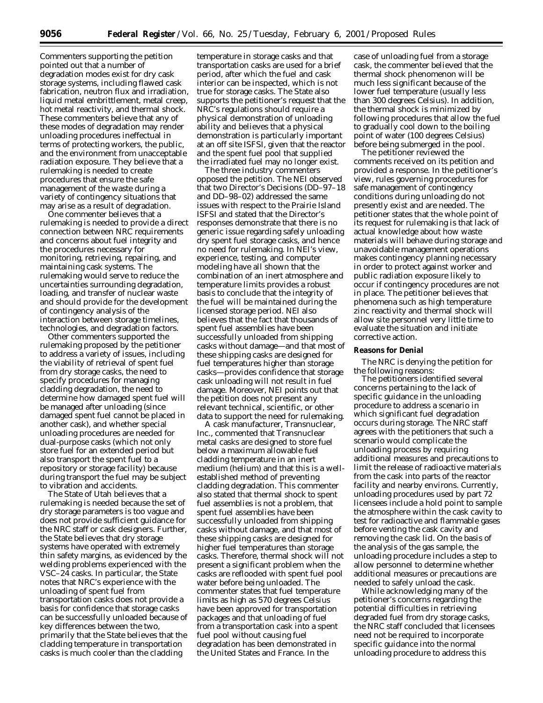Commenters supporting the petition pointed out that a number of degradation modes exist for dry cask storage systems, including flawed cask fabrication, neutron flux and irradiation, liquid metal embrittlement, metal creep, hot metal reactivity, and thermal shock. These commenters believe that any of these modes of degradation may render unloading procedures ineffectual in terms of protecting workers, the public, and the environment from unacceptable radiation exposure. They believe that a rulemaking is needed to create procedures that ensure the safe management of the waste during a variety of contingency situations that may arise as a result of degradation.

One commenter believes that a rulemaking is needed to provide a direct connection between NRC requirements and concerns about fuel integrity and the procedures necessary for monitoring, retrieving, repairing, and maintaining cask systems. The rulemaking would serve to reduce the uncertainties surrounding degradation, loading, and transfer of nuclear waste and should provide for the development of contingency analysis of the interaction between storage timelines, technologies, and degradation factors.

Other commenters supported the rulemaking proposed by the petitioner to address a variety of issues, including the viability of retrieval of spent fuel from dry storage casks, the need to specify procedures for managing cladding degradation, the need to determine how damaged spent fuel will be managed after unloading (since damaged spent fuel cannot be placed in another cask), and whether special unloading procedures are needed for dual-purpose casks (which not only store fuel for an extended period but also transport the spent fuel to a repository or storage facility) because during transport the fuel may be subject to vibration and accidents.

The State of Utah believes that a rulemaking is needed because the set of dry storage parameters is too vague and does not provide sufficient guidance for the NRC staff or cask designers. Further, the State believes that dry storage systems have operated with extremely thin safety margins, as evidenced by the welding problems experienced with the VSC–24 casks. In particular, the State notes that NRC's experience with the unloading of spent fuel from transportation casks does not provide a basis for confidence that storage casks can be successfully unloaded because of key differences between the two, primarily that the State believes that the cladding temperature in transportation casks is much cooler than the cladding

temperature in storage casks and that transportation casks are used for a brief period, after which the fuel and cask interior can be inspected, which is not true for storage casks. The State also supports the petitioner's request that the NRC's regulations should require a physical demonstration of unloading ability and believes that a physical demonstration is particularly important at an off site ISFSI, given that the reactor and the spent fuel pool that supplied the irradiated fuel may no longer exist.

The three industry commenters opposed the petition. The NEI observed that two Director's Decisions (DD–97–18 and DD–98–02) addressed the same issues with respect to the Prairie Island ISFSI and stated that the Director's responses demonstrate that there is no generic issue regarding safely unloading dry spent fuel storage casks, and hence no need for rulemaking. In NEI's view, experience, testing, and computer modeling have all shown that the combination of an inert atmosphere and temperature limits provides a robust basis to conclude that the integrity of the fuel will be maintained during the licensed storage period. NEI also believes that the fact that thousands of spent fuel assemblies have been successfully unloaded from shipping casks without damage—and that most of these shipping casks are designed for fuel temperatures higher than storage casks—provides confidence that storage cask unloading will not result in fuel damage. Moreover, NEI points out that the petition does not present any relevant technical, scientific, or other data to support the need for rulemaking.

A cask manufacturer, Transnuclear, Inc., commented that Transnuclear metal casks are designed to store fuel below a maximum allowable fuel cladding temperature in an inert medium (helium) and that this is a wellestablished method of preventing cladding degradation. This commenter also stated that thermal shock to spent fuel assemblies is not a problem, that spent fuel assemblies have been successfully unloaded from shipping casks without damage, and that most of these shipping casks are designed for higher fuel temperatures than storage casks. Therefore, thermal shock will not present a significant problem when the casks are reflooded with spent fuel pool water before being unloaded. The commenter states that fuel temperature limits as high as 570 degrees Celsius have been approved for transportation packages and that unloading of fuel from a transportation cask into a spent fuel pool without causing fuel degradation has been demonstrated in the United States and France. In the

case of unloading fuel from a storage cask, the commenter believed that the thermal shock phenomenon will be much less significant because of the lower fuel temperature (usually less than 300 degrees Celsius). In addition, the thermal shock is minimized by following procedures that allow the fuel to gradually cool down to the boiling point of water (100 degrees Celsius) before being submerged in the pool.

The petitioner reviewed the comments received on its petition and provided a response. In the petitioner's view, rules governing procedures for safe management of contingency conditions during unloading do not presently exist and are needed. The petitioner states that the whole point of its request for rulemaking is that lack of actual knowledge about how waste materials will behave during storage and unavoidable management operations makes contingency planning necessary in order to protect against worker and public radiation exposure likely to occur if contingency procedures are not in place. The petitioner believes that phenomena such as high temperature zinc reactivity and thermal shock will allow site personnel very little time to evaluate the situation and initiate corrective action.

#### **Reasons for Denial**

The NRC is denying the petition for the following reasons:

The petitioners identified several concerns pertaining to the lack of specific guidance in the unloading procedure to address a scenario in which significant fuel degradation occurs during storage. The NRC staff agrees with the petitioners that such a scenario would complicate the unloading process by requiring additional measures and precautions to limit the release of radioactive materials from the cask into parts of the reactor facility and nearby environs. Currently, unloading procedures used by part 72 licensees include a hold point to sample the atmosphere within the cask cavity to test for radioactive and flammable gases before venting the cask cavity and removing the cask lid. On the basis of the analysis of the gas sample, the unloading procedure includes a step to allow personnel to determine whether additional measures or precautions are needed to safely unload the cask.

While acknowledging many of the petitioner's concerns regarding the potential difficulties in retrieving degraded fuel from dry storage casks, the NRC staff concluded that licensees need not be required to incorporate specific guidance into the normal unloading procedure to address this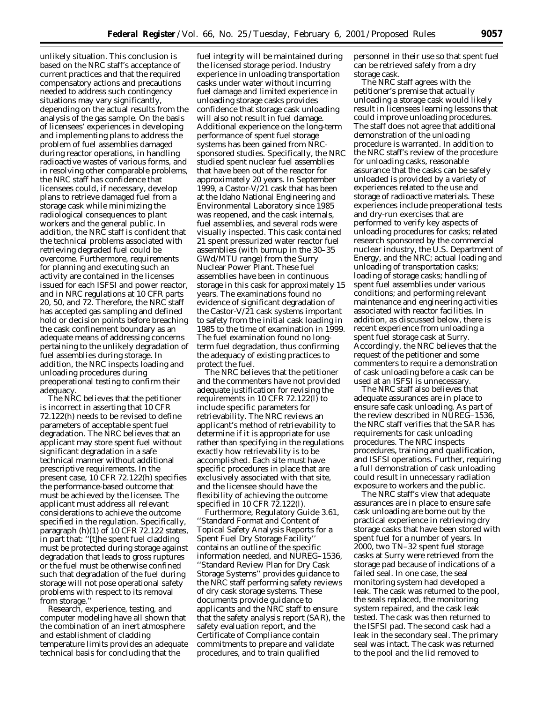unlikely situation. This conclusion is based on the NRC staff's acceptance of current practices and that the required compensatory actions and precautions needed to address such contingency situations may vary significantly, depending on the actual results from the analysis of the gas sample. On the basis of licensees' experiences in developing and implementing plans to address the problem of fuel assemblies damaged during reactor operations, in handling radioactive wastes of various forms, and in resolving other comparable problems, the NRC staff has confidence that licensees could, if necessary, develop plans to retrieve damaged fuel from a storage cask while minimizing the radiological consequences to plant workers and the general public. In addition, the NRC staff is confident that the technical problems associated with retrieving degraded fuel could be overcome. Furthermore, requirements for planning and executing such an activity are contained in the licenses issued for each ISFSI and power reactor, and in NRC regulations at 10 CFR parts 20, 50, and 72. Therefore, the NRC staff has accepted gas sampling and defined hold or decision points before breaching the cask confinement boundary as an adequate means of addressing concerns pertaining to the unlikely degradation of fuel assemblies during storage. In addition, the NRC inspects loading and unloading procedures during preoperational testing to confirm their adequacy.

The NRC believes that the petitioner is incorrect in asserting that 10 CFR 72.122(h) needs to be revised to define parameters of acceptable spent fuel degradation. The NRC believes that an applicant may store spent fuel without significant degradation in a safe technical manner without additional prescriptive requirements. In the present case,  $10$  CFR 72.122(h) specifies the performance-based outcome that must be achieved by the licensee. The applicant must address all relevant considerations to achieve the outcome specified in the regulation. Specifically, paragraph (h)(1) of 10 CFR 72.122 states, in part that: ''[t]he spent fuel cladding must be protected during storage against degradation that leads to gross ruptures or the fuel must be otherwise confined such that degradation of the fuel during storage will not pose operational safety problems with respect to its removal from storage.''

Research, experience, testing, and computer modeling have all shown that the combination of an inert atmosphere and establishment of cladding temperature limits provides an adequate technical basis for concluding that the

fuel integrity will be maintained during the licensed storage period. Industry experience in unloading transportation casks under water without incurring fuel damage and limited experience in unloading storage casks provides confidence that storage cask unloading will also not result in fuel damage. Additional experience on the long-term performance of spent fuel storage systems has been gained from NRCsponsored studies. Specifically, the NRC studied spent nuclear fuel assemblies that have been out of the reactor for approximately 20 years. In September 1999, a Castor-V/21 cask that has been at the Idaho National Engineering and Environmental Laboratory since 1985 was reopened, and the cask internals, fuel assemblies, and several rods were visually inspected. This cask contained 21 spent pressurized water reactor fuel assemblies (with burnup in the 30–35 GWd/MTU range) from the Surry Nuclear Power Plant. These fuel assemblies have been in continuous storage in this cask for approximately 15 years. The examinations found no evidence of significant degradation of the Castor-V/21 cask systems important to safety from the initial cask loading in 1985 to the time of examination in 1999. The fuel examination found no longterm fuel degradation, thus confirming the adequacy of existing practices to protect the fuel.

The NRC believes that the petitioner and the commenters have not provided adequate justification for revising the requirements in 10 CFR 72.122(l) to include specific parameters for retrievability. The NRC reviews an applicant's method of retrievability to determine if it is appropriate for use rather than specifying in the regulations exactly how retrievability is to be accomplished. Each site must have specific procedures in place that are exclusively associated with that site, and the licensee should have the flexibility of achieving the outcome specified in 10 CFR 72.122(l).

Furthermore, Regulatory Guide 3.61, ''Standard Format and Content of Topical Safety Analysis Reports for a Spent Fuel Dry Storage Facility'' contains an outline of the specific information needed, and NUREG–1536, ''Standard Review Plan for Dry Cask Storage Systems'' provides guidance to the NRC staff performing safety reviews of dry cask storage systems. These documents provide guidance to applicants and the NRC staff to ensure that the safety analysis report (SAR), the safety evaluation report, and the Certificate of Compliance contain commitments to prepare and validate procedures, and to train qualified

personnel in their use so that spent fuel can be retrieved safely from a dry storage cask.

The NRC staff agrees with the petitioner's premise that actually unloading a storage cask would likely result in licensees learning lessons that could improve unloading procedures. The staff does not agree that additional demonstration of the unloading procedure is warranted. In addition to the NRC staff's review of the procedure for unloading casks, reasonable assurance that the casks can be safely unloaded is provided by a variety of experiences related to the use and storage of radioactive materials. These experiences include preoperational tests and dry-run exercises that are performed to verify key aspects of unloading procedures for casks; related research sponsored by the commercial nuclear industry, the U.S. Department of Energy, and the NRC; actual loading and unloading of transportation casks; loading of storage casks; handling of spent fuel assemblies under various conditions; and performing relevant maintenance and engineering activities associated with reactor facilities. In addition, as discussed below, there is recent experience from unloading a spent fuel storage cask at Surry. Accordingly, the NRC believes that the request of the petitioner and some commenters to require a demonstration of cask unloading before a cask can be used at an ISFSI is unnecessary.

The NRC staff also believes that adequate assurances are in place to ensure safe cask unloading. As part of the review described in NUREG–1536, the NRC staff verifies that the SAR has requirements for cask unloading procedures. The NRC inspects procedures, training and qualification, and ISFSI operations. Further, requiring a full demonstration of cask unloading could result in unnecessary radiation exposure to workers and the public.

The NRC staff's view that adequate assurances are in place to ensure safe cask unloading are borne out by the practical experience in retrieving dry storage casks that have been stored with spent fuel for a number of years. In 2000, two TN–32 spent fuel storage casks at Surry were retrieved from the storage pad because of indications of a failed seal. In one case, the seal monitoring system had developed a leak. The cask was returned to the pool, the seals replaced, the monitoring system repaired, and the cask leak tested. The cask was then returned to the ISFSI pad. The second cask had a leak in the secondary seal. The primary seal was intact. The cask was returned to the pool and the lid removed to